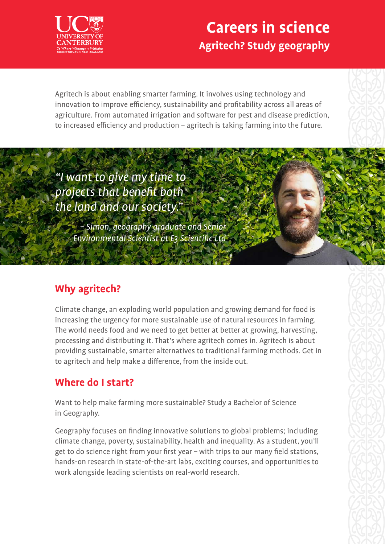

## **Careers in science Agritech? Study geography**

Agritech is about enabling smarter farming. It involves using technology and innovation to improve efficiency, sustainability and profitability across all areas of agriculture. From automated irrigation and software for pest and disease prediction, to increased efficiency and production – agritech is taking farming into the future.

"I want to give my time to projects that benefit both the land and our society."

> – Simon, geography graduate and Senior Environmental Scientist at E3 Scientific Ltd

### **Why agritech?**

Climate change, an exploding world population and growing demand for food is increasing the urgency for more sustainable use of natural resources in farming. The world needs food and we need to get better at better at growing, harvesting, processing and distributing it. That's where agritech comes in. Agritech is about providing sustainable, smarter alternatives to traditional farming methods. Get in to agritech and help make a difference, from the inside out.

### **Where do I start?**

Want to help make farming more sustainable? Study a Bachelor of Science in Geography.

Geography focuses on finding innovative solutions to global problems; including climate change, poverty, sustainability, health and inequality. As a student, you'll get to do science right from your first year – with trips to our many field stations, hands-on research in state-of-the-art labs, exciting courses, and opportunities to work alongside leading scientists on real-world research.